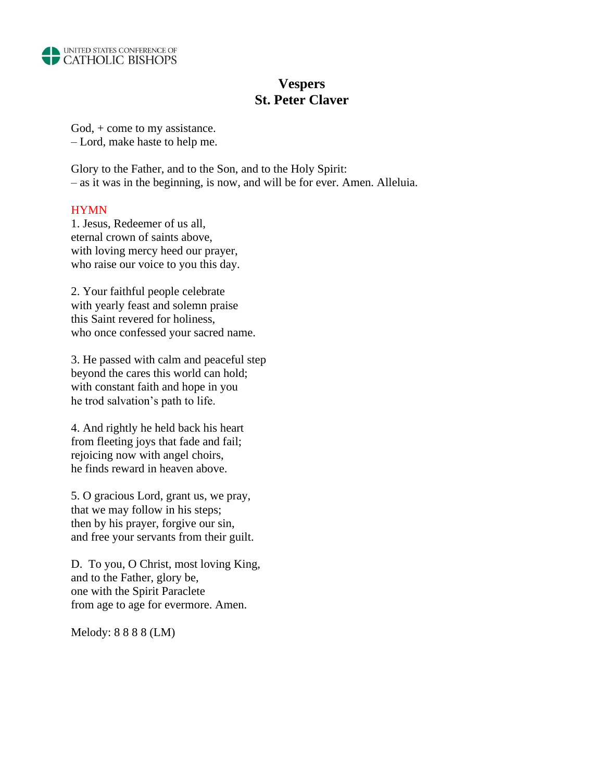

# **Vespers St. Peter Claver**

God, + come to my assistance. – Lord, make haste to help me.

Glory to the Father, and to the Son, and to the Holy Spirit: – as it was in the beginning, is now, and will be for ever. Amen. Alleluia.

## HYMN

1. Jesus, Redeemer of us all, eternal crown of saints above, with loving mercy heed our prayer, who raise our voice to you this day.

2. Your faithful people celebrate with yearly feast and solemn praise this Saint revered for holiness, who once confessed your sacred name.

3. He passed with calm and peaceful step beyond the cares this world can hold; with constant faith and hope in you he trod salvation's path to life.

4. And rightly he held back his heart from fleeting joys that fade and fail; rejoicing now with angel choirs, he finds reward in heaven above.

5. O gracious Lord, grant us, we pray, that we may follow in his steps; then by his prayer, forgive our sin, and free your servants from their guilt.

D. To you, O Christ, most loving King, and to the Father, glory be, one with the Spirit Paraclete from age to age for evermore. Amen.

Melody: 8 8 8 8 (LM)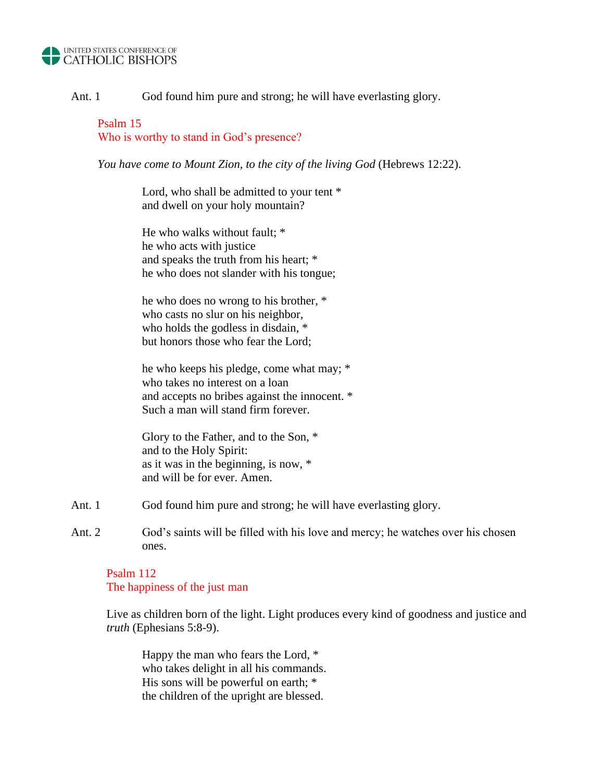#### UNITED STATES CONFERENCE OF **CATHOLIC BISHOPS**

Ant. 1 God found him pure and strong; he will have everlasting glory.

Psalm 15 Who is worthy to stand in God's presence?

*You have come to Mount Zion, to the city of the living God* (Hebrews 12:22).

Lord, who shall be admitted to your tent  $*$ and dwell on your holy mountain?

He who walks without fault; \* he who acts with justice and speaks the truth from his heart; \* he who does not slander with his tongue;

he who does no wrong to his brother, \* who casts no slur on his neighbor, who holds the godless in disdain, \* but honors those who fear the Lord;

he who keeps his pledge, come what may; \* who takes no interest on a loan and accepts no bribes against the innocent. \* Such a man will stand firm forever.

Glory to the Father, and to the Son, \* and to the Holy Spirit: as it was in the beginning, is now, \* and will be for ever. Amen.

- Ant. 1 God found him pure and strong; he will have everlasting glory.
- Ant. 2 God's saints will be filled with his love and mercy; he watches over his chosen ones.

Psalm 112 The happiness of the just man

Live as children born of the light. Light produces every kind of goodness and justice and *truth* (Ephesians 5:8-9).

Happy the man who fears the Lord, \* who takes delight in all his commands. His sons will be powerful on earth; \* the children of the upright are blessed.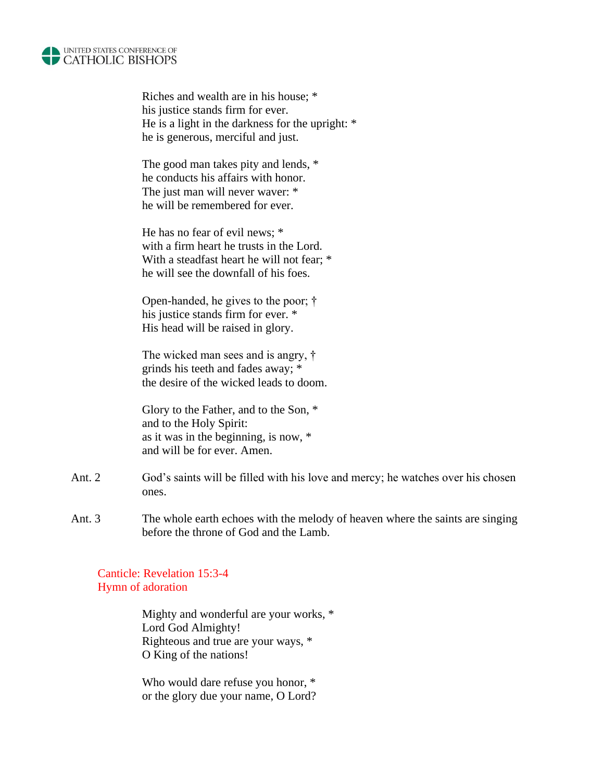

Riches and wealth are in his house; \* his justice stands firm for ever. He is a light in the darkness for the upright: \* he is generous, merciful and just.

The good man takes pity and lends, \* he conducts his affairs with honor. The just man will never waver: \* he will be remembered for ever.

He has no fear of evil news; \* with a firm heart he trusts in the Lord. With a steadfast heart he will not fear:  $*$ he will see the downfall of his foes.

Open-handed, he gives to the poor; † his justice stands firm for ever. \* His head will be raised in glory.

The wicked man sees and is angry, † grinds his teeth and fades away; \* the desire of the wicked leads to doom.

Glory to the Father, and to the Son, \* and to the Holy Spirit: as it was in the beginning, is now, \* and will be for ever. Amen.

- Ant. 2 God's saints will be filled with his love and mercy; he watches over his chosen ones.
- Ant. 3 The whole earth echoes with the melody of heaven where the saints are singing before the throne of God and the Lamb.

Canticle: Revelation 15:3-4 Hymn of adoration

> Mighty and wonderful are your works, \* Lord God Almighty! Righteous and true are your ways, \* O King of the nations!

Who would dare refuse you honor, \* or the glory due your name, O Lord?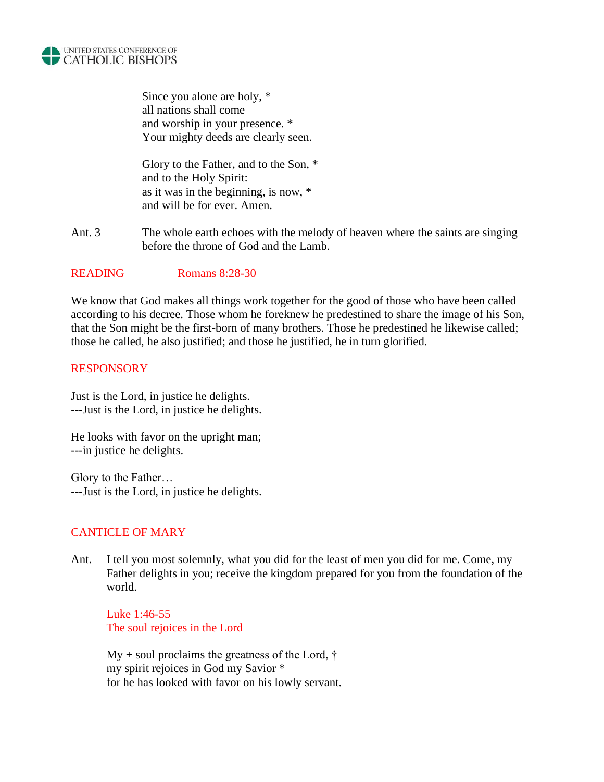

Since you alone are holy, \* all nations shall come and worship in your presence. \* Your mighty deeds are clearly seen.

Glory to the Father, and to the Son, \* and to the Holy Spirit: as it was in the beginning, is now, \* and will be for ever. Amen.

Ant. 3 The whole earth echoes with the melody of heaven where the saints are singing before the throne of God and the Lamb.

## READING Romans 8:28-30

We know that God makes all things work together for the good of those who have been called according to his decree. Those whom he foreknew he predestined to share the image of his Son, that the Son might be the first-born of many brothers. Those he predestined he likewise called; those he called, he also justified; and those he justified, he in turn glorified.

## **RESPONSORY**

Just is the Lord, in justice he delights. ---Just is the Lord, in justice he delights.

He looks with favor on the upright man; ---in justice he delights.

Glory to the Father… ---Just is the Lord, in justice he delights.

# CANTICLE OF MARY

Ant. I tell you most solemnly, what you did for the least of men you did for me. Come, my Father delights in you; receive the kingdom prepared for you from the foundation of the world.

Luke 1:46-55 The soul rejoices in the Lord

 $My + soul$  proclaims the greatness of the Lord,  $\dagger$ my spirit rejoices in God my Savior \* for he has looked with favor on his lowly servant.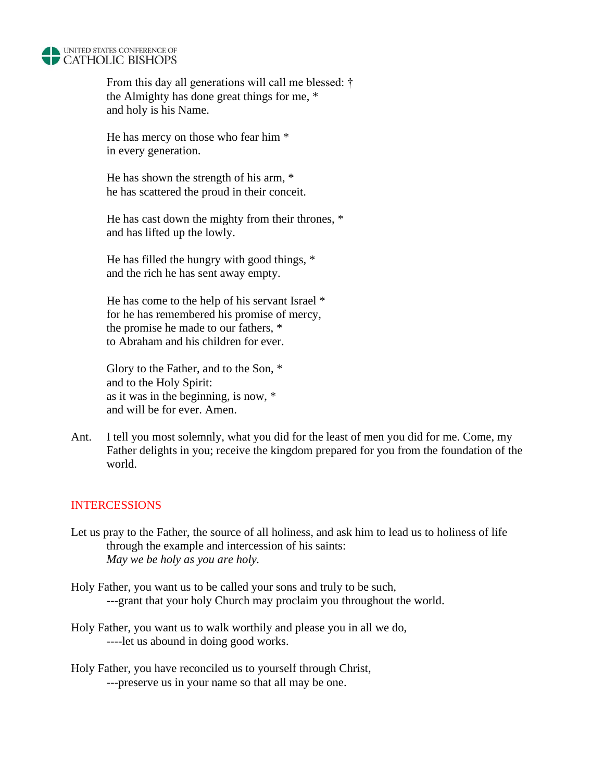

From this day all generations will call me blessed: † the Almighty has done great things for me, \* and holy is his Name.

He has mercy on those who fear him \* in every generation.

He has shown the strength of his arm, \* he has scattered the proud in their conceit.

He has cast down the mighty from their thrones, \* and has lifted up the lowly.

He has filled the hungry with good things, \* and the rich he has sent away empty.

He has come to the help of his servant Israel \* for he has remembered his promise of mercy, the promise he made to our fathers, \* to Abraham and his children for ever.

Glory to the Father, and to the Son, \* and to the Holy Spirit: as it was in the beginning, is now, \* and will be for ever. Amen.

Ant. I tell you most solemnly, what you did for the least of men you did for me. Come, my Father delights in you; receive the kingdom prepared for you from the foundation of the world.

# INTERCESSIONS

- Let us pray to the Father, the source of all holiness, and ask him to lead us to holiness of life through the example and intercession of his saints: *May we be holy as you are holy.*
- Holy Father, you want us to be called your sons and truly to be such, ---grant that your holy Church may proclaim you throughout the world.
- Holy Father, you want us to walk worthily and please you in all we do, ----let us abound in doing good works.
- Holy Father, you have reconciled us to yourself through Christ, ---preserve us in your name so that all may be one.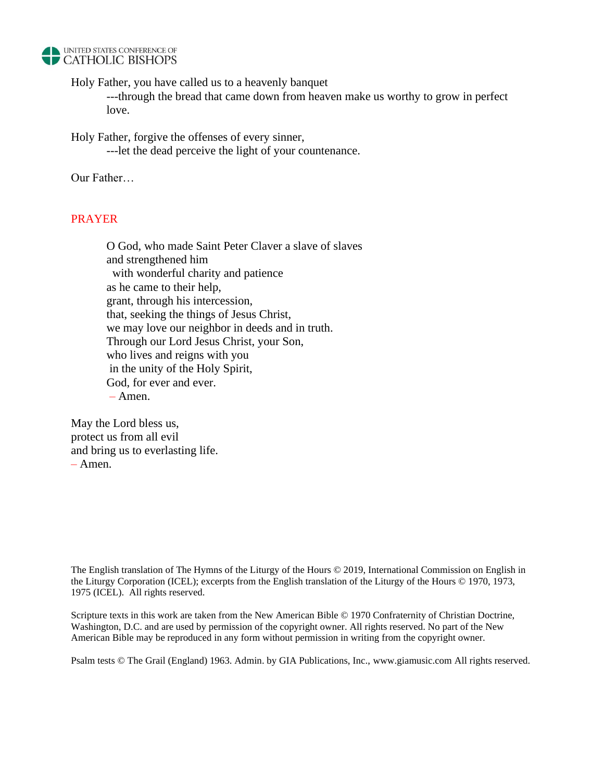

Holy Father, you have called us to a heavenly banquet

---through the bread that came down from heaven make us worthy to grow in perfect love.

Holy Father, forgive the offenses of every sinner,

---let the dead perceive the light of your countenance.

Our Father…

## PRAYER

O God, who made Saint Peter Claver a slave of slaves and strengthened him with wonderful charity and patience as he came to their help, grant, through his intercession, that, seeking the things of Jesus Christ, we may love our neighbor in deeds and in truth. Through our Lord Jesus Christ, your Son, who lives and reigns with you in the unity of the Holy Spirit, God, for ever and ever. – Amen.

May the Lord bless us, protect us from all evil and bring us to everlasting life. – Amen.

The English translation of The Hymns of the Liturgy of the Hours © 2019, International Commission on English in the Liturgy Corporation (ICEL); excerpts from the English translation of the Liturgy of the Hours © 1970, 1973, 1975 (ICEL). All rights reserved.

Scripture texts in this work are taken from the New American Bible © 1970 Confraternity of Christian Doctrine, Washington, D.C. and are used by permission of the copyright owner. All rights reserved. No part of the New American Bible may be reproduced in any form without permission in writing from the copyright owner.

Psalm tests © The Grail (England) 1963. Admin. by GIA Publications, Inc., [www.giamusic.com](http://www.giamusic.com/) All rights reserved.